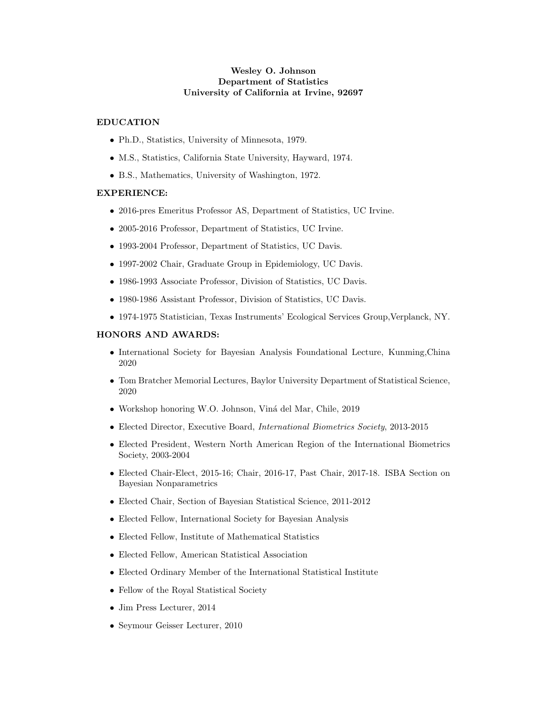# Wesley O. Johnson Department of Statistics University of California at Irvine, 92697

## EDUCATION

- Ph.D., Statistics, University of Minnesota, 1979.
- M.S., Statistics, California State University, Hayward, 1974.
- B.S., Mathematics, University of Washington, 1972.

## EXPERIENCE:

- 2016-pres Emeritus Professor AS, Department of Statistics, UC Irvine.
- 2005-2016 Professor, Department of Statistics, UC Irvine.
- 1993-2004 Professor, Department of Statistics, UC Davis.
- 1997-2002 Chair, Graduate Group in Epidemiology, UC Davis.
- 1986-1993 Associate Professor, Division of Statistics, UC Davis.
- 1980-1986 Assistant Professor, Division of Statistics, UC Davis.
- 1974-1975 Statistician, Texas Instruments' Ecological Services Group,Verplanck, NY.

# HONORS AND AWARDS:

- International Society for Bayesian Analysis Foundational Lecture, Kunming,China 2020
- Tom Bratcher Memorial Lectures, Baylor University Department of Statistical Science, 2020
- Workshop honoring W.O. Johnson, Viná del Mar, Chile, 2019
- Elected Director, Executive Board, International Biometrics Society, 2013-2015
- Elected President, Western North American Region of the International Biometrics Society, 2003-2004
- Elected Chair-Elect, 2015-16; Chair, 2016-17, Past Chair, 2017-18. ISBA Section on Bayesian Nonparametrics
- Elected Chair, Section of Bayesian Statistical Science, 2011-2012
- Elected Fellow, International Society for Bayesian Analysis
- Elected Fellow, Institute of Mathematical Statistics
- Elected Fellow, American Statistical Association
- Elected Ordinary Member of the International Statistical Institute
- Fellow of the Royal Statistical Society
- Jim Press Lecturer, 2014
- Seymour Geisser Lecturer, 2010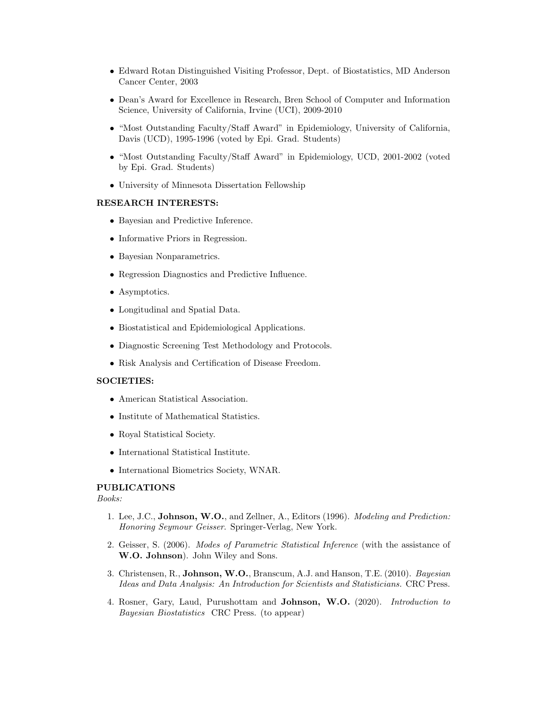- Edward Rotan Distinguished Visiting Professor, Dept. of Biostatistics, MD Anderson Cancer Center, 2003
- Dean's Award for Excellence in Research, Bren School of Computer and Information Science, University of California, Irvine (UCI), 2009-2010
- "Most Outstanding Faculty/Staff Award" in Epidemiology, University of California, Davis (UCD), 1995-1996 (voted by Epi. Grad. Students)
- "Most Outstanding Faculty/Staff Award" in Epidemiology, UCD, 2001-2002 (voted by Epi. Grad. Students)
- University of Minnesota Dissertation Fellowship

### RESEARCH INTERESTS:

- Bayesian and Predictive Inference.
- Informative Priors in Regression.
- Bayesian Nonparametrics.
- Regression Diagnostics and Predictive Influence.
- Asymptotics.
- Longitudinal and Spatial Data.
- Biostatistical and Epidemiological Applications.
- Diagnostic Screening Test Methodology and Protocols.
- Risk Analysis and Certification of Disease Freedom.

#### SOCIETIES:

- American Statistical Association.
- Institute of Mathematical Statistics.
- Royal Statistical Society.
- International Statistical Institute.
- International Biometrics Society, WNAR.

### PUBLICATIONS

Books:

- 1. Lee, J.C., Johnson, W.O., and Zellner, A., Editors (1996). *Modeling and Prediction:* Honoring Seymour Geisser. Springer-Verlag, New York.
- 2. Geisser, S. (2006). Modes of Parametric Statistical Inference (with the assistance of W.O. Johnson). John Wiley and Sons.
- 3. Christensen, R., Johnson, W.O., Branscum, A.J. and Hanson, T.E. (2010). Bayesian Ideas and Data Analysis: An Introduction for Scientists and Statisticians. CRC Press.
- 4. Rosner, Gary, Laud, Purushottam and Johnson, W.O. (2020). Introduction to Bayesian Biostatistics CRC Press. (to appear)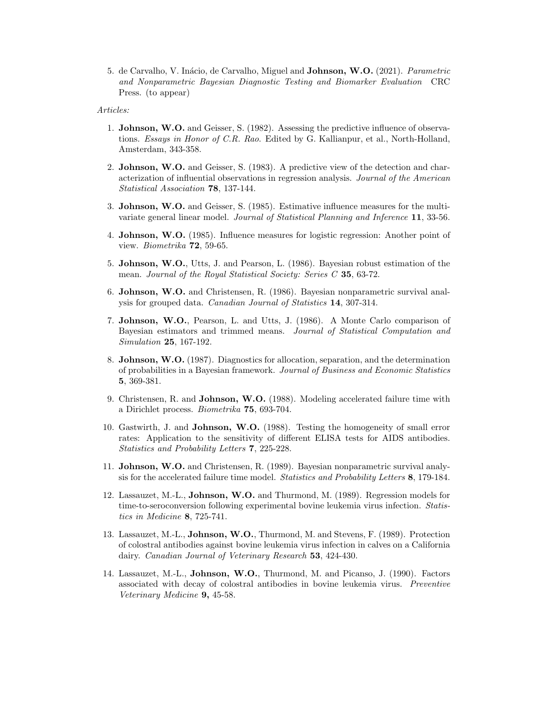5. de Carvalho, V. Inácio, de Carvalho, Miguel and **Johnson, W.O.** (2021). *Parametric* and Nonparametric Bayesian Diagnostic Testing and Biomarker Evaluation CRC Press. (to appear)

#### Articles:

- 1. Johnson, W.O. and Geisser, S. (1982). Assessing the predictive influence of observations. Essays in Honor of C.R. Rao. Edited by G. Kallianpur, et al., North-Holland, Amsterdam, 343-358.
- 2. Johnson, W.O. and Geisser, S. (1983). A predictive view of the detection and characterization of influential observations in regression analysis. Journal of the American Statistical Association 78, 137-144.
- 3. Johnson, W.O. and Geisser, S. (1985). Estimative influence measures for the multivariate general linear model. Journal of Statistical Planning and Inference 11, 33-56.
- 4. Johnson, W.O. (1985). Influence measures for logistic regression: Another point of view. Biometrika 72, 59-65.
- 5. Johnson, W.O., Utts, J. and Pearson, L. (1986). Bayesian robust estimation of the mean. Journal of the Royal Statistical Society: Series C 35, 63-72.
- 6. Johnson, W.O. and Christensen, R. (1986). Bayesian nonparametric survival analysis for grouped data. Canadian Journal of Statistics 14, 307-314.
- 7. Johnson, W.O., Pearson, L. and Utts, J. (1986). A Monte Carlo comparison of Bayesian estimators and trimmed means. Journal of Statistical Computation and Simulation 25, 167-192.
- 8. Johnson, W.O. (1987). Diagnostics for allocation, separation, and the determination of probabilities in a Bayesian framework. Journal of Business and Economic Statistics 5, 369-381.
- 9. Christensen, R. and Johnson, W.O. (1988). Modeling accelerated failure time with a Dirichlet process. Biometrika 75, 693-704.
- 10. Gastwirth, J. and Johnson, W.O. (1988). Testing the homogeneity of small error rates: Application to the sensitivity of different ELISA tests for AIDS antibodies. Statistics and Probability Letters 7, 225-228.
- 11. Johnson, W.O. and Christensen, R. (1989). Bayesian nonparametric survival analysis for the accelerated failure time model. Statistics and Probability Letters 8, 179-184.
- 12. Lassauzet, M.-L., Johnson, W.O. and Thurmond, M. (1989). Regression models for time-to-seroconversion following experimental bovine leukemia virus infection. Statistics in Medicine 8, 725-741.
- 13. Lassauzet, M.-L., Johnson, W.O., Thurmond, M. and Stevens, F. (1989). Protection of colostral antibodies against bovine leukemia virus infection in calves on a California dairy. Canadian Journal of Veterinary Research 53, 424-430.
- 14. Lassauzet, M.-L., Johnson, W.O., Thurmond, M. and Picanso, J. (1990). Factors associated with decay of colostral antibodies in bovine leukemia virus. Preventive Veterinary Medicine 9, 45-58.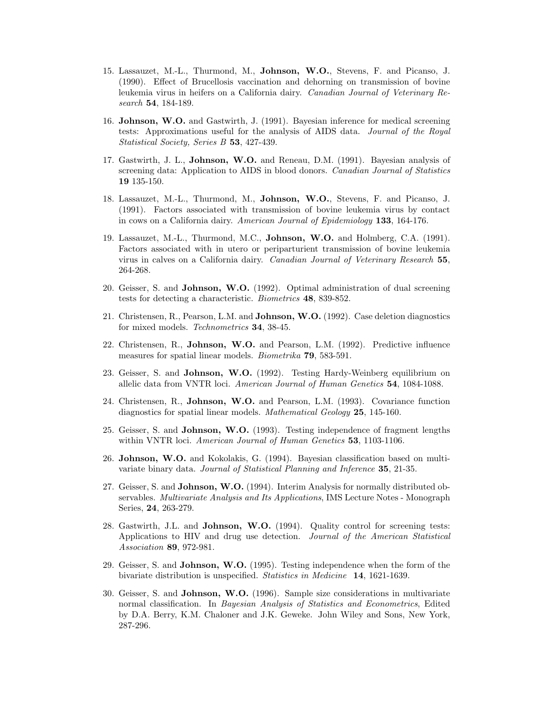- 15. Lassauzet, M.-L., Thurmond, M., Johnson, W.O., Stevens, F. and Picanso, J. (1990). Effect of Brucellosis vaccination and dehorning on transmission of bovine leukemia virus in heifers on a California dairy. Canadian Journal of Veterinary Research 54, 184-189.
- 16. Johnson, W.O. and Gastwirth, J. (1991). Bayesian inference for medical screening tests: Approximations useful for the analysis of AIDS data. Journal of the Royal Statistical Society, Series B 53, 427-439.
- 17. Gastwirth, J. L., Johnson, W.O. and Reneau, D.M. (1991). Bayesian analysis of screening data: Application to AIDS in blood donors. Canadian Journal of Statistics 19 135-150.
- 18. Lassauzet, M.-L., Thurmond, M., Johnson, W.O., Stevens, F. and Picanso, J. (1991). Factors associated with transmission of bovine leukemia virus by contact in cows on a California dairy. American Journal of Epidemiology 133, 164-176.
- 19. Lassauzet, M.-L., Thurmond, M.C., Johnson, W.O. and Holmberg, C.A. (1991). Factors associated with in utero or periparturient transmission of bovine leukemia virus in calves on a California dairy. Canadian Journal of Veterinary Research 55, 264-268.
- 20. Geisser, S. and Johnson, W.O. (1992). Optimal administration of dual screening tests for detecting a characteristic. Biometrics 48, 839-852.
- 21. Christensen, R., Pearson, L.M. and Johnson, W.O. (1992). Case deletion diagnostics for mixed models. Technometrics 34, 38-45.
- 22. Christensen, R., Johnson, W.O. and Pearson, L.M. (1992). Predictive influence measures for spatial linear models. *Biometrika* **79**, 583-591.
- 23. Geisser, S. and Johnson, W.O. (1992). Testing Hardy-Weinberg equilibrium on allelic data from VNTR loci. American Journal of Human Genetics 54, 1084-1088.
- 24. Christensen, R., Johnson, W.O. and Pearson, L.M. (1993). Covariance function diagnostics for spatial linear models. Mathematical Geology 25, 145-160.
- 25. Geisser, S. and Johnson, W.O. (1993). Testing independence of fragment lengths within VNTR loci. American Journal of Human Genetics 53, 1103-1106.
- 26. Johnson, W.O. and Kokolakis, G. (1994). Bayesian classification based on multivariate binary data. Journal of Statistical Planning and Inference 35, 21-35.
- 27. Geisser, S. and Johnson, W.O. (1994). Interim Analysis for normally distributed observables. Multivariate Analysis and Its Applications, IMS Lecture Notes - Monograph Series, 24, 263-279.
- 28. Gastwirth, J.L. and Johnson, W.O. (1994). Quality control for screening tests: Applications to HIV and drug use detection. Journal of the American Statistical Association 89, 972-981.
- 29. Geisser, S. and Johnson, W.O. (1995). Testing independence when the form of the bivariate distribution is unspecified. Statistics in Medicine 14, 1621-1639.
- 30. Geisser, S. and Johnson, W.O. (1996). Sample size considerations in multivariate normal classification. In *Bayesian Analysis of Statistics and Econometrics*, Edited by D.A. Berry, K.M. Chaloner and J.K. Geweke. John Wiley and Sons, New York, 287-296.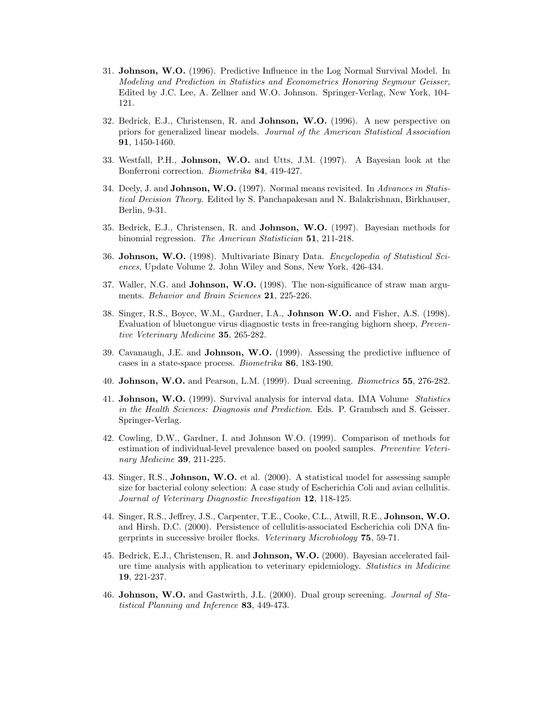- 31. Johnson, W.O. (1996). Predictive Influence in the Log Normal Survival Model. In Modeling and Prediction in Statistics and Econometrics Honoring Seymour Geisser, Edited by J.C. Lee, A. Zellner and W.O. Johnson. Springer-Verlag, New York, 104- 121.
- 32. Bedrick, E.J., Christensen, R. and Johnson, W.O. (1996). A new perspective on priors for generalized linear models. Journal of the American Statistical Association 91, 1450-1460.
- 33. Westfall, P.H., Johnson, W.O. and Utts, J.M. (1997). A Bayesian look at the Bonferroni correction. Biometrika 84, 419-427.
- 34. Deely, J. and **Johnson, W.O.** (1997). Normal means revisited. In *Advances in Statis*tical Decision Theory. Edited by S. Panchapakesan and N. Balakrishnan, Birkhauser, Berlin, 9-31.
- 35. Bedrick, E.J., Christensen, R. and Johnson, W.O. (1997). Bayesian methods for binomial regression. The American Statistician 51, 211-218.
- 36. Johnson, W.O. (1998). Multivariate Binary Data. Encyclopedia of Statistical Sciences, Update Volume 2. John Wiley and Sons, New York, 426-434.
- 37. Waller, N.G. and Johnson, W.O. (1998). The non-significance of straw man arguments. Behavior and Brain Sciences 21, 225-226.
- 38. Singer, R.S., Boyce, W.M., Gardner, I.A., Johnson W.O. and Fisher, A.S. (1998). Evaluation of bluetongue virus diagnostic tests in free-ranging bighorn sheep, Preventive Veterinary Medicine 35, 265-282.
- 39. Cavanaugh, J.E. and Johnson, W.O. (1999). Assessing the predictive influence of cases in a state-space process. Biometrika 86, 183-190.
- 40. Johnson, W.O. and Pearson, L.M. (1999). Dual screening. Biometrics 55, 276-282.
- 41. Johnson, W.O. (1999). Survival analysis for interval data. IMA Volume Statistics in the Health Sciences: Diagnosis and Prediction. Eds. P. Grambsch and S. Geisser. Springer-Verlag.
- 42. Cowling, D.W., Gardner, I. and Johnson W.O. (1999). Comparison of methods for estimation of individual-level prevalence based on pooled samples. Preventive Veterinary *Medicine* **39**, 211-225.
- 43. Singer, R.S., Johnson, W.O. et al. (2000). A statistical model for assessing sample size for bacterial colony selection: A case study of Escherichia Coli and avian cellulitis. Journal of Veterinary Diagnostic Investigation 12, 118-125.
- 44. Singer, R.S., Jeffrey, J.S., Carpenter, T.E., Cooke, C.L., Atwill, R.E., Johnson, W.O. and Hirsh, D.C. (2000). Persistence of cellulitis-associated Escherichia coli DNA fingerprints in successive broiler flocks. Veterinary Microbiology 75, 59-71.
- 45. Bedrick, E.J., Christensen, R. and Johnson, W.O. (2000). Bayesian accelerated failure time analysis with application to veterinary epidemiology. Statistics in Medicine 19, 221-237.
- 46. Johnson, W.O. and Gastwirth, J.L. (2000). Dual group screening. Journal of Statistical Planning and Inference 83, 449-473.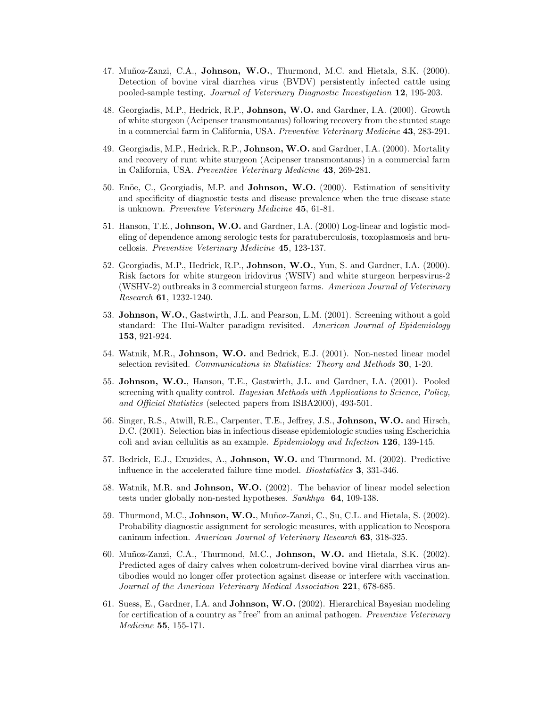- 47. Muñoz-Zanzi, C.A., Johnson, W.O., Thurmond, M.C. and Hietala, S.K. (2000). Detection of bovine viral diarrhea virus (BVDV) persistently infected cattle using pooled-sample testing. Journal of Veterinary Diagnostic Investigation 12, 195-203.
- 48. Georgiadis, M.P., Hedrick, R.P., Johnson, W.O. and Gardner, I.A. (2000). Growth of white sturgeon (Acipenser transmontanus) following recovery from the stunted stage in a commercial farm in California, USA. Preventive Veterinary Medicine 43, 283-291.
- 49. Georgiadis, M.P., Hedrick, R.P., Johnson, W.O. and Gardner, I.A. (2000). Mortality and recovery of runt white sturgeon (Acipenser transmontanus) in a commercial farm in California, USA. Preventive Veterinary Medicine 43, 269-281.
- 50. Enöe, C., Georgiadis, M.P. and Johnson, W.O. (2000). Estimation of sensitivity and specificity of diagnostic tests and disease prevalence when the true disease state is unknown. Preventive Veterinary Medicine 45, 61-81.
- 51. Hanson, T.E., Johnson, W.O. and Gardner, I.A. (2000) Log-linear and logistic modeling of dependence among serologic tests for paratuberculosis, toxoplasmosis and brucellosis. Preventive Veterinary Medicine 45, 123-137.
- 52. Georgiadis, M.P., Hedrick, R.P., Johnson, W.O., Yun, S. and Gardner, I.A. (2000). Risk factors for white sturgeon iridovirus (WSIV) and white sturgeon herpesvirus-2 (WSHV-2) outbreaks in 3 commercial sturgeon farms. American Journal of Veterinary Research 61, 1232-1240.
- 53. Johnson, W.O., Gastwirth, J.L. and Pearson, L.M. (2001). Screening without a gold standard: The Hui-Walter paradigm revisited. American Journal of Epidemiology 153, 921-924.
- 54. Watnik, M.R., Johnson, W.O. and Bedrick, E.J. (2001). Non-nested linear model selection revisited. Communications in Statistics: Theory and Methods 30, 1-20.
- 55. Johnson, W.O., Hanson, T.E., Gastwirth, J.L. and Gardner, I.A. (2001). Pooled screening with quality control. Bayesian Methods with Applications to Science, Policy, and Official Statistics (selected papers from ISBA2000), 493-501.
- 56. Singer, R.S., Atwill, R.E., Carpenter, T.E., Jeffrey, J.S., Johnson, W.O. and Hirsch, D.C. (2001). Selection bias in infectious disease epidemiologic studies using Escherichia coli and avian cellulitis as an example. Epidemiology and Infection 126, 139-145.
- 57. Bedrick, E.J., Exuzides, A., Johnson, W.O. and Thurmond, M. (2002). Predictive influence in the accelerated failure time model. Biostatistics 3, 331-346.
- 58. Watnik, M.R. and Johnson, W.O. (2002). The behavior of linear model selection tests under globally non-nested hypotheses. Sankhya 64, 109-138.
- 59. Thurmond, M.C., Johnson, W.O., Muñoz-Zanzi, C., Su, C.L. and Hietala, S. (2002). Probability diagnostic assignment for serologic measures, with application to Neospora caninum infection. American Journal of Veterinary Research 63, 318-325.
- 60. Mu˜noz-Zanzi, C.A., Thurmond, M.C., Johnson, W.O. and Hietala, S.K. (2002). Predicted ages of dairy calves when colostrum-derived bovine viral diarrhea virus antibodies would no longer offer protection against disease or interfere with vaccination. Journal of the American Veterinary Medical Association 221, 678-685.
- 61. Suess, E., Gardner, I.A. and Johnson, W.O. (2002). Hierarchical Bayesian modeling for certification of a country as "free" from an animal pathogen. Preventive Veterinary Medicine 55, 155-171.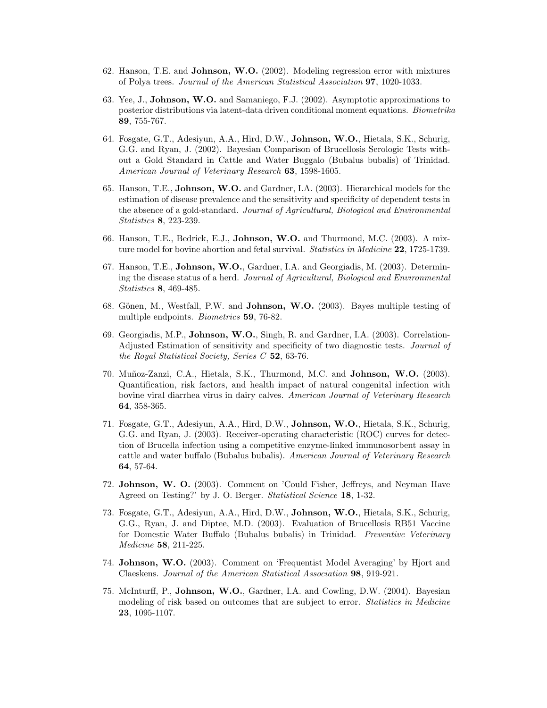- 62. Hanson, T.E. and Johnson, W.O. (2002). Modeling regression error with mixtures of Polya trees. Journal of the American Statistical Association 97, 1020-1033.
- 63. Yee, J., Johnson, W.O. and Samaniego, F.J. (2002). Asymptotic approximations to posterior distributions via latent-data driven conditional moment equations. Biometrika 89, 755-767.
- 64. Fosgate, G.T., Adesiyun, A.A., Hird, D.W., Johnson, W.O., Hietala, S.K., Schurig, G.G. and Ryan, J. (2002). Bayesian Comparison of Brucellosis Serologic Tests without a Gold Standard in Cattle and Water Buggalo (Bubalus bubalis) of Trinidad. American Journal of Veterinary Research 63, 1598-1605.
- 65. Hanson, T.E., Johnson, W.O. and Gardner, I.A. (2003). Hierarchical models for the estimation of disease prevalence and the sensitivity and specificity of dependent tests in the absence of a gold-standard. Journal of Agricultural, Biological and Environmental Statistics 8, 223-239.
- 66. Hanson, T.E., Bedrick, E.J., Johnson, W.O. and Thurmond, M.C. (2003). A mixture model for bovine abortion and fetal survival. Statistics in Medicine 22, 1725-1739.
- 67. Hanson, T.E., Johnson, W.O., Gardner, I.A. and Georgiadis, M. (2003). Determining the disease status of a herd. Journal of Agricultural, Biological and Environmental Statistics 8, 469-485.
- 68. Gönen, M., Westfall, P.W. and **Johnson, W.O.** (2003). Bayes multiple testing of multiple endpoints. *Biometrics* 59, 76-82.
- 69. Georgiadis, M.P., Johnson, W.O., Singh, R. and Gardner, I.A. (2003). Correlation-Adjusted Estimation of sensitivity and specificity of two diagnostic tests. Journal of the Royal Statistical Society, Series C 52, 63-76.
- 70. Muñoz-Zanzi, C.A., Hietala, S.K., Thurmond, M.C. and Johnson, W.O. (2003). Quantification, risk factors, and health impact of natural congenital infection with bovine viral diarrhea virus in dairy calves. American Journal of Veterinary Research 64, 358-365.
- 71. Fosgate, G.T., Adesiyun, A.A., Hird, D.W., Johnson, W.O., Hietala, S.K., Schurig, G.G. and Ryan, J. (2003). Receiver-operating characteristic (ROC) curves for detection of Brucella infection using a competitive enzyme-linked immunosorbent assay in cattle and water buffalo (Bubalus bubalis). American Journal of Veterinary Research 64, 57-64.
- 72. Johnson, W. O. (2003). Comment on 'Could Fisher, Jeffreys, and Neyman Have Agreed on Testing?' by J. O. Berger. *Statistical Science* 18, 1-32.
- 73. Fosgate, G.T., Adesiyun, A.A., Hird, D.W., Johnson, W.O., Hietala, S.K., Schurig, G.G., Ryan, J. and Diptee, M.D. (2003). Evaluation of Brucellosis RB51 Vaccine for Domestic Water Buffalo (Bubalus bubalis) in Trinidad. Preventive Veterinary Medicine 58, 211-225.
- 74. Johnson, W.O. (2003). Comment on 'Frequentist Model Averaging' by Hjort and Claeskens. Journal of the American Statistical Association 98, 919-921.
- 75. McInturff, P., Johnson, W.O., Gardner, I.A. and Cowling, D.W. (2004). Bayesian modeling of risk based on outcomes that are subject to error. *Statistics in Medicine* 23, 1095-1107.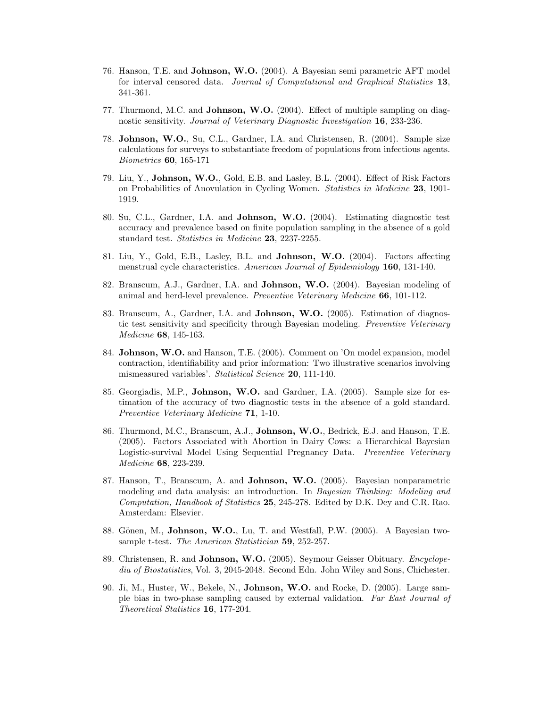- 76. Hanson, T.E. and Johnson, W.O. (2004). A Bayesian semi parametric AFT model for interval censored data. Journal of Computational and Graphical Statistics 13, 341-361.
- 77. Thurmond, M.C. and Johnson, W.O. (2004). Effect of multiple sampling on diagnostic sensitivity. Journal of Veterinary Diagnostic Investigation 16, 233-236.
- 78. Johnson, W.O., Su, C.L., Gardner, I.A. and Christensen, R. (2004). Sample size calculations for surveys to substantiate freedom of populations from infectious agents. Biometrics 60, 165-171
- 79. Liu, Y., Johnson, W.O., Gold, E.B. and Lasley, B.L. (2004). Effect of Risk Factors on Probabilities of Anovulation in Cycling Women. Statistics in Medicine 23, 1901- 1919.
- 80. Su, C.L., Gardner, I.A. and Johnson, W.O. (2004). Estimating diagnostic test accuracy and prevalence based on finite population sampling in the absence of a gold standard test. Statistics in Medicine 23, 2237-2255.
- 81. Liu, Y., Gold, E.B., Lasley, B.L. and Johnson, W.O. (2004). Factors affecting menstrual cycle characteristics. American Journal of Epidemiology 160, 131-140.
- 82. Branscum, A.J., Gardner, I.A. and Johnson, W.O. (2004). Bayesian modeling of animal and herd-level prevalence. Preventive Veterinary Medicine 66, 101-112.
- 83. Branscum, A., Gardner, I.A. and Johnson, W.O. (2005). Estimation of diagnostic test sensitivity and specificity through Bayesian modeling. Preventive Veterinary Medicine 68, 145-163.
- 84. Johnson, W.O. and Hanson, T.E. (2005). Comment on 'On model expansion, model contraction, identifiability and prior information: Two illustrative scenarios involving mismeasured variables'. Statistical Science 20, 111-140.
- 85. Georgiadis, M.P., Johnson, W.O. and Gardner, I.A. (2005). Sample size for estimation of the accuracy of two diagnostic tests in the absence of a gold standard. Preventive Veterinary Medicine 71, 1-10.
- 86. Thurmond, M.C., Branscum, A.J., Johnson, W.O., Bedrick, E.J. and Hanson, T.E. (2005). Factors Associated with Abortion in Dairy Cows: a Hierarchical Bayesian Logistic-survival Model Using Sequential Pregnancy Data. Preventive Veterinary Medicine 68, 223-239.
- 87. Hanson, T., Branscum, A. and Johnson, W.O. (2005). Bayesian nonparametric modeling and data analysis: an introduction. In Bayesian Thinking: Modeling and Computation, Handbook of Statistics 25, 245-278. Edited by D.K. Dey and C.R. Rao. Amsterdam: Elsevier.
- 88. Gönen, M., Johnson, W.O., Lu, T. and Westfall, P.W. (2005). A Bayesian twosample t-test. The American Statistician 59, 252-257.
- 89. Christensen, R. and **Johnson, W.O.** (2005). Seymour Geisser Obituary. *Encyclope*dia of Biostatistics, Vol. 3, 2045-2048. Second Edn. John Wiley and Sons, Chichester.
- 90. Ji, M., Huster, W., Bekele, N., Johnson, W.O. and Rocke, D. (2005). Large sample bias in two-phase sampling caused by external validation. Far East Journal of Theoretical Statistics 16, 177-204.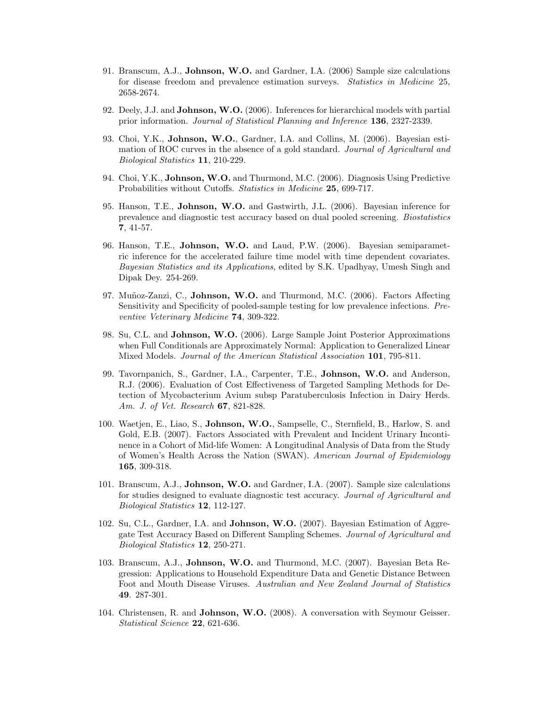- 91. Branscum, A.J., Johnson, W.O. and Gardner, I.A. (2006) Sample size calculations for disease freedom and prevalence estimation surveys. Statistics in Medicine 25, 2658-2674.
- 92. Deely, J.J. and Johnson, W.O. (2006). Inferences for hierarchical models with partial prior information. Journal of Statistical Planning and Inference 136, 2327-2339.
- 93. Choi, Y.K., Johnson, W.O., Gardner, I.A. and Collins, M. (2006). Bayesian estimation of ROC curves in the absence of a gold standard. Journal of Agricultural and Biological Statistics 11, 210-229.
- 94. Choi, Y.K., Johnson, W.O. and Thurmond, M.C. (2006). Diagnosis Using Predictive Probabilities without Cutoffs. Statistics in Medicine 25, 699-717.
- 95. Hanson, T.E., Johnson, W.O. and Gastwirth, J.L. (2006). Bayesian inference for prevalence and diagnostic test accuracy based on dual pooled screening. Biostatistics 7, 41-57.
- 96. Hanson, T.E., Johnson, W.O. and Laud, P.W. (2006). Bayesian semiparametric inference for the accelerated failure time model with time dependent covariates. Bayesian Statistics and its Applications, edited by S.K. Upadhyay, Umesh Singh and Dipak Dey. 254-269.
- 97. Muñoz-Zanzi, C., Johnson, W.O. and Thurmond, M.C. (2006). Factors Affecting Sensitivity and Specificity of pooled-sample testing for low prevalence infections. Preventive Veterinary Medicine 74, 309-322.
- 98. Su, C.L. and Johnson, W.O. (2006). Large Sample Joint Posterior Approximations when Full Conditionals are Approximately Normal: Application to Generalized Linear Mixed Models. Journal of the American Statistical Association 101, 795-811.
- 99. Tavornpanich, S., Gardner, I.A., Carpenter, T.E., Johnson, W.O. and Anderson, R.J. (2006). Evaluation of Cost Effectiveness of Targeted Sampling Methods for Detection of Mycobacterium Avium subsp Paratuberculosis Infection in Dairy Herds. Am. J. of Vet. Research 67, 821-828.
- 100. Waetjen, E., Liao, S., Johnson, W.O., Sampselle, C., Sternfield, B., Harlow, S. and Gold, E.B. (2007). Factors Associated with Prevalent and Incident Urinary Incontinence in a Cohort of Mid-life Women: A Longitudinal Analysis of Data from the Study of Women's Health Across the Nation (SWAN). American Journal of Epidemiology 165, 309-318.
- 101. Branscum, A.J., Johnson, W.O. and Gardner, I.A. (2007). Sample size calculations for studies designed to evaluate diagnostic test accuracy. Journal of Agricultural and Biological Statistics 12, 112-127.
- 102. Su, C.L., Gardner, I.A. and Johnson, W.O. (2007). Bayesian Estimation of Aggregate Test Accuracy Based on Different Sampling Schemes. Journal of Agricultural and Biological Statistics 12, 250-271.
- 103. Branscum, A.J., Johnson, W.O. and Thurmond, M.C. (2007). Bayesian Beta Regression: Applications to Household Expenditure Data and Genetic Distance Between Foot and Mouth Disease Viruses. Australian and New Zealand Journal of Statistics 49. 287-301.
- 104. Christensen, R. and Johnson, W.O. (2008). A conversation with Seymour Geisser. Statistical Science 22, 621-636.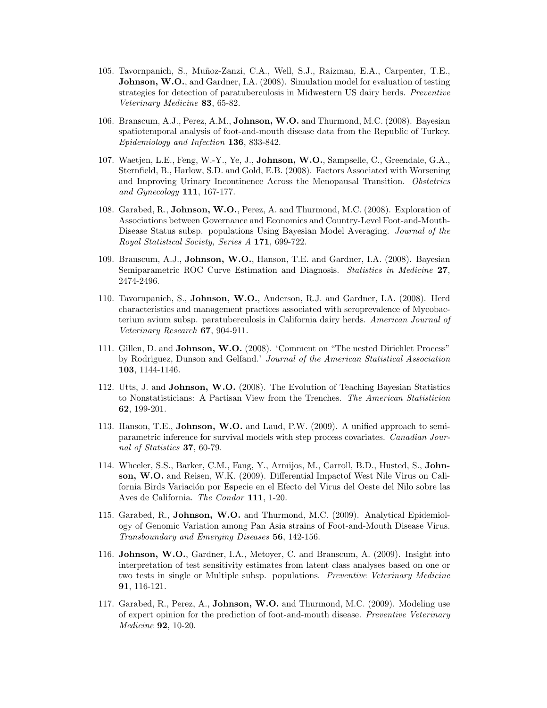- 105. Tavornpanich, S., Mu˜noz-Zanzi, C.A., Well, S.J., Raizman, E.A., Carpenter, T.E., **Johnson, W.O.**, and Gardner, I.A. (2008). Simulation model for evaluation of testing strategies for detection of paratuberculosis in Midwestern US dairy herds. Preventive Veterinary Medicine 83, 65-82.
- 106. Branscum, A.J., Perez, A.M., Johnson, W.O. and Thurmond, M.C. (2008). Bayesian spatiotemporal analysis of foot-and-mouth disease data from the Republic of Turkey. Epidemiology and Infection 136, 833-842.
- 107. Waetjen, L.E., Feng, W.-Y., Ye, J., Johnson, W.O., Sampselle, C., Greendale, G.A., Sternfield, B., Harlow, S.D. and Gold, E.B. (2008). Factors Associated with Worsening and Improving Urinary Incontinence Across the Menopausal Transition. Obstetrics and Gynecology 111, 167-177.
- 108. Garabed, R., Johnson, W.O., Perez, A. and Thurmond, M.C. (2008). Exploration of Associations between Governance and Economics and Country-Level Foot-and-Mouth-Disease Status subsp. populations Using Bayesian Model Averaging. Journal of the Royal Statistical Society, Series A 171, 699-722.
- 109. Branscum, A.J., Johnson, W.O., Hanson, T.E. and Gardner, I.A. (2008). Bayesian Semiparametric ROC Curve Estimation and Diagnosis. Statistics in Medicine 27, 2474-2496.
- 110. Tavornpanich, S., Johnson, W.O., Anderson, R.J. and Gardner, I.A. (2008). Herd characteristics and management practices associated with seroprevalence of Mycobacterium avium subsp. paratuberculosis in California dairy herds. American Journal of Veterinary Research 67, 904-911.
- 111. Gillen, D. and Johnson, W.O. (2008). 'Comment on "The nested Dirichlet Process" by Rodriguez, Dunson and Gelfand.' Journal of the American Statistical Association 103, 1144-1146.
- 112. Utts, J. and Johnson, W.O. (2008). The Evolution of Teaching Bayesian Statistics to Nonstatisticians: A Partisan View from the Trenches. The American Statistician 62, 199-201.
- 113. Hanson, T.E., Johnson, W.O. and Laud, P.W. (2009). A unified approach to semiparametric inference for survival models with step process covariates. Canadian Journal of Statistics 37, 60-79.
- 114. Wheeler, S.S., Barker, C.M., Fang, Y., Armijos, M., Carroll, B.D., Husted, S., Johnson, W.O. and Reisen, W.K. (2009). Differential Impactof West Nile Virus on California Birds Variación por Especie en el Efecto del Virus del Oeste del Nilo sobre las Aves de California. The Condor 111, 1-20.
- 115. Garabed, R., Johnson, W.O. and Thurmond, M.C. (2009). Analytical Epidemiology of Genomic Variation among Pan Asia strains of Foot-and-Mouth Disease Virus. Transboundary and Emerging Diseases 56, 142-156.
- 116. Johnson, W.O., Gardner, I.A., Metoyer, C. and Branscum, A. (2009). Insight into interpretation of test sensitivity estimates from latent class analyses based on one or two tests in single or Multiple subsp. populations. Preventive Veterinary Medicine 91, 116-121.
- 117. Garabed, R., Perez, A., Johnson, W.O. and Thurmond, M.C. (2009). Modeling use of expert opinion for the prediction of foot-and-mouth disease. Preventive Veterinary Medicine 92, 10-20.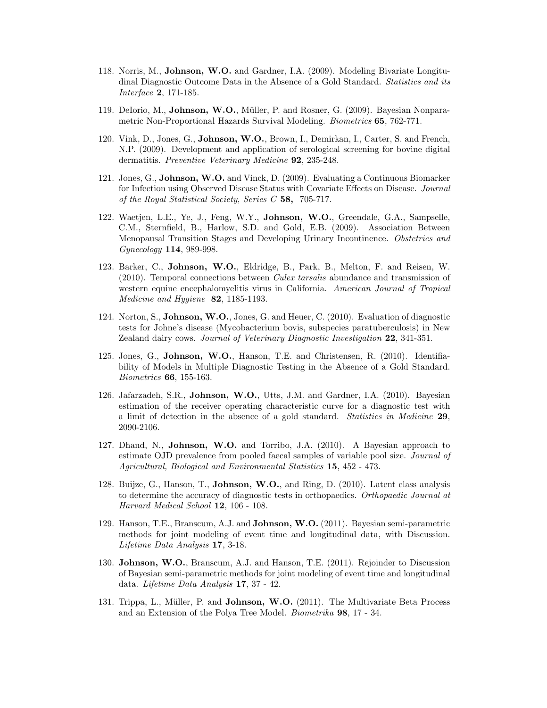- 118. Norris, M., Johnson, W.O. and Gardner, I.A. (2009). Modeling Bivariate Longitudinal Diagnostic Outcome Data in the Absence of a Gold Standard. Statistics and its Interface 2, 171-185.
- 119. DeIorio, M., **Johnson, W.O.**, Müller, P. and Rosner, G. (2009). Bayesian Nonparametric Non-Proportional Hazards Survival Modeling. Biometrics 65, 762-771.
- 120. Vink, D., Jones, G., Johnson, W.O., Brown, I., Demirkan, I., Carter, S. and French, N.P. (2009). Development and application of serological screening for bovine digital dermatitis. Preventive Veterinary Medicine 92, 235-248.
- 121. Jones, G., Johnson, W.O. and Vinck, D. (2009). Evaluating a Continuous Biomarker for Infection using Observed Disease Status with Covariate Effects on Disease. Journal of the Royal Statistical Society, Series C 58, 705-717.
- 122. Waetjen, L.E., Ye, J., Feng, W.Y., Johnson, W.O., Greendale, G.A., Sampselle, C.M., Sternfield, B., Harlow, S.D. and Gold, E.B. (2009). Association Between Menopausal Transition Stages and Developing Urinary Incontinence. Obstetrics and Gynecology 114, 989-998.
- 123. Barker, C., Johnson, W.O., Eldridge, B., Park, B., Melton, F. and Reisen, W. (2010). Temporal connections between Culex tarsalis abundance and transmission of western equine encephalomyelitis virus in California. American Journal of Tropical Medicine and Hygiene **82**, 1185-1193.
- 124. Norton, S., Johnson, W.O., Jones, G. and Heuer, C. (2010). Evaluation of diagnostic tests for Johne's disease (Mycobacterium bovis, subspecies paratuberculosis) in New Zealand dairy cows. Journal of Veterinary Diagnostic Investigation 22, 341-351.
- 125. Jones, G., Johnson, W.O., Hanson, T.E. and Christensen, R. (2010). Identifiability of Models in Multiple Diagnostic Testing in the Absence of a Gold Standard. Biometrics 66, 155-163.
- 126. Jafarzadeh, S.R., Johnson, W.O., Utts, J.M. and Gardner, I.A. (2010). Bayesian estimation of the receiver operating characteristic curve for a diagnostic test with a limit of detection in the absence of a gold standard. Statistics in Medicine 29, 2090-2106.
- 127. Dhand, N., Johnson, W.O. and Torribo, J.A. (2010). A Bayesian approach to estimate OJD prevalence from pooled faecal samples of variable pool size. Journal of Agricultural, Biological and Environmental Statistics 15, 452 - 473.
- 128. Buijze, G., Hanson, T., Johnson, W.O., and Ring, D. (2010). Latent class analysis to determine the accuracy of diagnostic tests in orthopaedics. Orthopaedic Journal at Harvard Medical School 12, 106 - 108.
- 129. Hanson, T.E., Branscum, A.J. and Johnson, W.O. (2011). Bayesian semi-parametric methods for joint modeling of event time and longitudinal data, with Discussion. Lifetime Data Analysis 17, 3-18.
- 130. Johnson, W.O., Branscum, A.J. and Hanson, T.E. (2011). Rejoinder to Discussion of Bayesian semi-parametric methods for joint modeling of event time and longitudinal data. Lifetime Data Analysis 17, 37 - 42.
- 131. Trippa, L., Müller, P. and **Johnson, W.O.** (2011). The Multivariate Beta Process and an Extension of the Polya Tree Model. Biometrika 98, 17 - 34.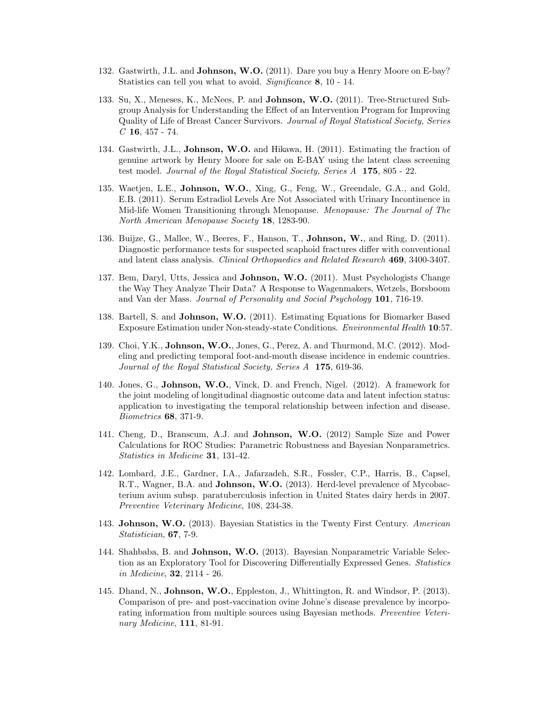- 132. Gastwirth, J.L. and **Johnson, W.O.** (2011). Dare you buy a Henry Moore on E-bay? Statistics can tell you what to avoid. Significance 8, 10 - 14.
- 133. Su, X., Meneses, K., McNees, P. and Johnson, W.O. (2011). Tree-Structured Subgroup Analysis for Understanding the Effect of an Intervention Program for Improving Quality of Life of Breast Cancer Survivors. Journal of Royal Statistical Society, Series  $C$  16, 457 - 74.
- 134. Gastwirth, J.L., Johnson, W.O. and Hikawa, H. (2011). Estimating the fraction of genuine artwork by Henry Moore for sale on E-BAY using the latent class screening test model. Journal of the Royal Statistical Society, Series A 175, 805 - 22.
- 135. Waetjen, L.E., Johnson, W.O., Xing, G., Feng, W., Greendale, G.A., and Gold, E.B. (2011). Serum Estradiol Levels Are Not Associated with Urinary Incontinence in Mid-life Women Transitioning through Menopause. Menopause: The Journal of The North American Menopause Society 18, 1283-90.
- 136. Buijze, G., Mallee, W., Beeres, F., Hanson, T., Johnson, W., and Ring, D. (2011). Diagnostic performance tests for suspected scaphoid fractures differ with conventional and latent class analysis. Clinical Orthopaedics and Related Research 469, 3400-3407.
- 137. Bem, Daryl, Utts, Jessica and Johnson, W.O. (2011). Must Psychologists Change the Way They Analyze Their Data? A Response to Wagenmakers, Wetzels, Borsboom and Van der Mass. Journal of Personality and Social Psychology 101, 716-19.
- 138. Bartell, S. and Johnson, W.O. (2011). Estimating Equations for Biomarker Based Exposure Estimation under Non-steady-state Conditions. Environmental Health 10:57.
- 139. Choi, Y.K., Johnson, W.O., Jones, G., Perez, A. and Thurmond, M.C. (2012). Modeling and predicting temporal foot-and-mouth disease incidence in endemic countries. Journal of the Royal Statistical Society, Series A 175, 619-36.
- 140. Jones, G., Johnson, W.O., Vinck, D. and French, Nigel. (2012). A framework for the joint modeling of longitudinal diagnostic outcome data and latent infection status: application to investigating the temporal relationship between infection and disease. Biometrics 68, 371-9.
- 141. Cheng, D., Branscum, A.J. and Johnson, W.O. (2012) Sample Size and Power Calculations for ROC Studies: Parametric Robustness and Bayesian Nonparametrics. Statistics in Medicine 31, 131-42.
- 142. Lombard, J.E., Gardner, I.A., Jafarzadeh, S.R., Fossler, C.P., Harris, B., Capsel, R.T., Wagner, B.A. and Johnson, W.O. (2013). Herd-level prevalence of Mycobacterium avium subsp. paratuberculosis infection in United States dairy herds in 2007. Preventive Veterinary Medicine, 108, 234-38.
- 143. Johnson, W.O. (2013). Bayesian Statistics in the Twenty First Century. American Statistician, 67, 7-9.
- 144. Shahbaba, B. and Johnson, W.O. (2013). Bayesian Nonparametric Variable Selection as an Exploratory Tool for Discovering Differentially Expressed Genes. Statistics in Medicine, 32, 2114 - 26.
- 145. Dhand, N., Johnson, W.O., Eppleston, J., Whittington, R. and Windsor, P. (2013). Comparison of pre- and post-vaccination ovine Johne's disease prevalence by incorporating information from multiple sources using Bayesian methods. Preventive Veterinary Medicine, **111**, 81-91.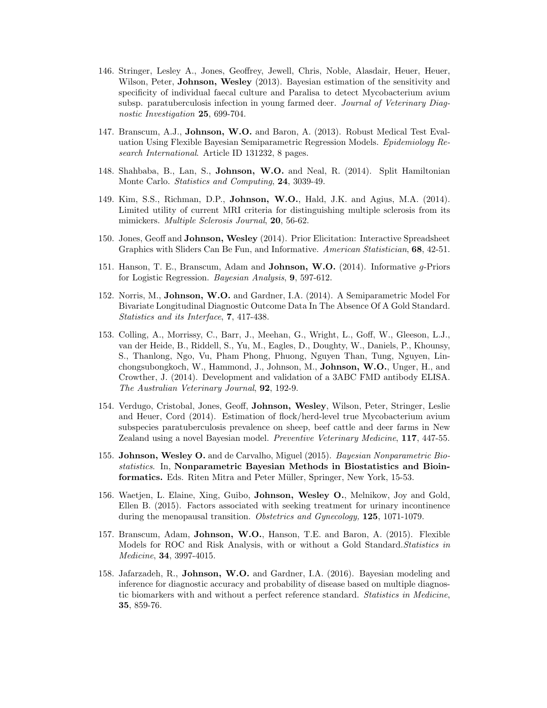- 146. Stringer, Lesley A., Jones, Geoffrey, Jewell, Chris, Noble, Alasdair, Heuer, Heuer, Wilson, Peter, **Johnson, Wesley** (2013). Bayesian estimation of the sensitivity and specificity of individual faecal culture and Paralisa to detect Mycobacterium avium subsp. paratuberculosis infection in young farmed deer. Journal of Veterinary Diagnostic Investigation 25, 699-704.
- 147. Branscum, A.J., Johnson, W.O. and Baron, A. (2013). Robust Medical Test Evaluation Using Flexible Bayesian Semiparametric Regression Models. Epidemiology Research International. Article ID 131232, 8 pages.
- 148. Shahbaba, B., Lan, S., Johnson, W.O. and Neal, R. (2014). Split Hamiltonian Monte Carlo. Statistics and Computing, 24, 3039-49.
- 149. Kim, S.S., Richman, D.P., Johnson, W.O., Hald, J.K. and Agius, M.A. (2014). Limited utility of current MRI criteria for distinguishing multiple sclerosis from its mimickers. Multiple Sclerosis Journal, 20, 56-62.
- 150. Jones, Geoff and Johnson, Wesley (2014). Prior Elicitation: Interactive Spreadsheet Graphics with Sliders Can Be Fun, and Informative. American Statistician, 68, 42-51.
- 151. Hanson, T. E., Branscum, Adam and Johnson, W.O. (2014). Informative g-Priors for Logistic Regression. Bayesian Analysis, 9, 597-612.
- 152. Norris, M., Johnson, W.O. and Gardner, I.A. (2014). A Semiparametric Model For Bivariate Longitudinal Diagnostic Outcome Data In The Absence Of A Gold Standard. Statistics and its Interface, 7, 417-438.
- 153. Colling, A., Morrissy, C., Barr, J., Meehan, G., Wright, L., Goff, W., Gleeson, L.J., van der Heide, B., Riddell, S., Yu, M., Eagles, D., Doughty, W., Daniels, P., Khounsy, S., Thanlong, Ngo, Vu, Pham Phong, Phuong, Nguyen Than, Tung, Nguyen, Linchongsubongkoch, W., Hammond, J., Johnson, M., Johnson, W.O., Unger, H., and Crowther, J. (2014). Development and validation of a 3ABC FMD antibody ELISA. The Australian Veterinary Journal, 92, 192-9.
- 154. Verdugo, Cristobal, Jones, Geoff, Johnson, Wesley, Wilson, Peter, Stringer, Leslie and Heuer, Cord (2014). Estimation of flock/herd-level true Mycobacterium avium subspecies paratuberculosis prevalence on sheep, beef cattle and deer farms in New Zealand using a novel Bayesian model. Preventive Veterinary Medicine, 117, 447-55.
- 155. Johnson, Wesley O. and de Carvalho, Miguel (2015). Bayesian Nonparametric Biostatistics. In, Nonparametric Bayesian Methods in Biostatistics and Bioinformatics. Eds. Riten Mitra and Peter Müller, Springer, New York, 15-53.
- 156. Waetjen, L. Elaine, Xing, Guibo, Johnson, Wesley O., Melnikow, Joy and Gold, Ellen B. (2015). Factors associated with seeking treatment for urinary incontinence during the menopausal transition. Obstetrics and Gynecology, 125, 1071-1079.
- 157. Branscum, Adam, Johnson, W.O., Hanson, T.E. and Baron, A. (2015). Flexible Models for ROC and Risk Analysis, with or without a Gold Standard. Statistics in Medicine, 34, 3997-4015.
- 158. Jafarzadeh, R., Johnson, W.O. and Gardner, I.A. (2016). Bayesian modeling and inference for diagnostic accuracy and probability of disease based on multiple diagnostic biomarkers with and without a perfect reference standard. Statistics in Medicine, 35, 859-76.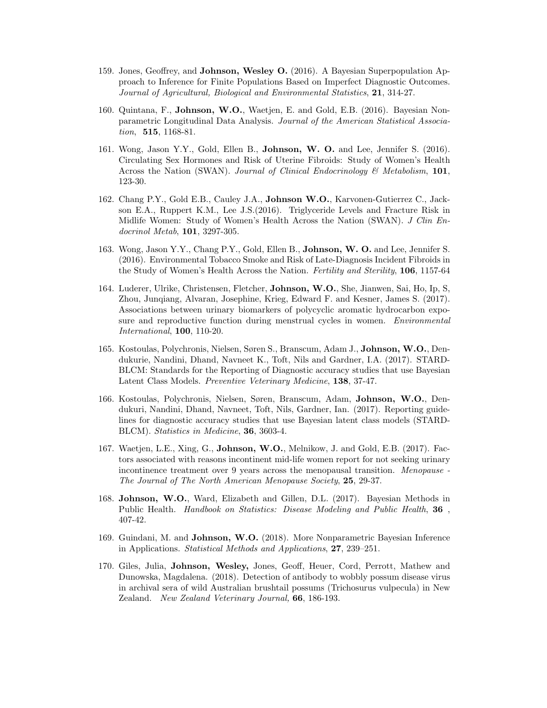- 159. Jones, Geoffrey, and Johnson, Wesley O. (2016). A Bayesian Superpopulation Approach to Inference for Finite Populations Based on Imperfect Diagnostic Outcomes. Journal of Agricultural, Biological and Environmental Statistics, 21, 314-27.
- 160. Quintana, F., Johnson, W.O., Waetjen, E. and Gold, E.B. (2016). Bayesian Nonparametric Longitudinal Data Analysis. Journal of the American Statistical Association, **515**, 1168-81.
- 161. Wong, Jason Y.Y., Gold, Ellen B., Johnson, W. O. and Lee, Jennifer S. (2016). Circulating Sex Hormones and Risk of Uterine Fibroids: Study of Women's Health Across the Nation (SWAN). Journal of Clinical Endocrinology  $\mathcal{B}$  Metabolism, 101, 123-30.
- 162. Chang P.Y., Gold E.B., Cauley J.A., Johnson W.O., Karvonen-Gutierrez C., Jackson E.A., Ruppert K.M., Lee J.S.(2016). Triglyceride Levels and Fracture Risk in Midlife Women: Study of Women's Health Across the Nation (SWAN). J Clin Endocrinol Metab, 101, 3297-305.
- 163. Wong, Jason Y.Y., Chang P.Y., Gold, Ellen B., Johnson, W. O. and Lee, Jennifer S. (2016). Environmental Tobacco Smoke and Risk of Late-Diagnosis Incident Fibroids in the Study of Women's Health Across the Nation. Fertility and Sterility, 106, 1157-64
- 164. Luderer, Ulrike, Christensen, Fletcher, Johnson, W.O., She, Jianwen, Sai, Ho, Ip, S, Zhou, Junqiang, Alvaran, Josephine, Krieg, Edward F. and Kesner, James S. (2017). Associations between urinary biomarkers of polycyclic aromatic hydrocarbon exposure and reproductive function during menstrual cycles in women. Environmental International, 100, 110-20.
- 165. Kostoulas, Polychronis, Nielsen, Søren S., Branscum, Adam J., Johnson, W.O., Dendukurie, Nandini, Dhand, Navneet K., Toft, Nils and Gardner, I.A. (2017). STARD-BLCM: Standards for the Reporting of Diagnostic accuracy studies that use Bayesian Latent Class Models. *Preventive Veterinary Medicine*, **138**, 37-47.
- 166. Kostoulas, Polychronis, Nielsen, Søren, Branscum, Adam, Johnson, W.O., Dendukuri, Nandini, Dhand, Navneet, Toft, Nils, Gardner, Ian. (2017). Reporting guidelines for diagnostic accuracy studies that use Bayesian latent class models (STARD-BLCM). Statistics in Medicine, 36, 3603-4.
- 167. Waetjen, L.E., Xing, G., Johnson, W.O., Melnikow, J. and Gold, E.B. (2017). Factors associated with reasons incontinent mid-life women report for not seeking urinary incontinence treatment over 9 years across the menopausal transition. Menopause - The Journal of The North American Menopause Society, 25, 29-37.
- 168. Johnson, W.O., Ward, Elizabeth and Gillen, D.L. (2017). Bayesian Methods in Public Health. Handbook on Statistics: Disease Modeling and Public Health, 36 , 407-42.
- 169. Guindani, M. and Johnson, W.O. (2018). More Nonparametric Bayesian Inference in Applications. Statistical Methods and Applications, 27, 239–251.
- 170. Giles, Julia, Johnson, Wesley, Jones, Geoff, Heuer, Cord, Perrott, Mathew and Dunowska, Magdalena. (2018). Detection of antibody to wobbly possum disease virus in archival sera of wild Australian brushtail possums (Trichosurus vulpecula) in New Zealand. New Zealand Veterinary Journal, 66, 186-193.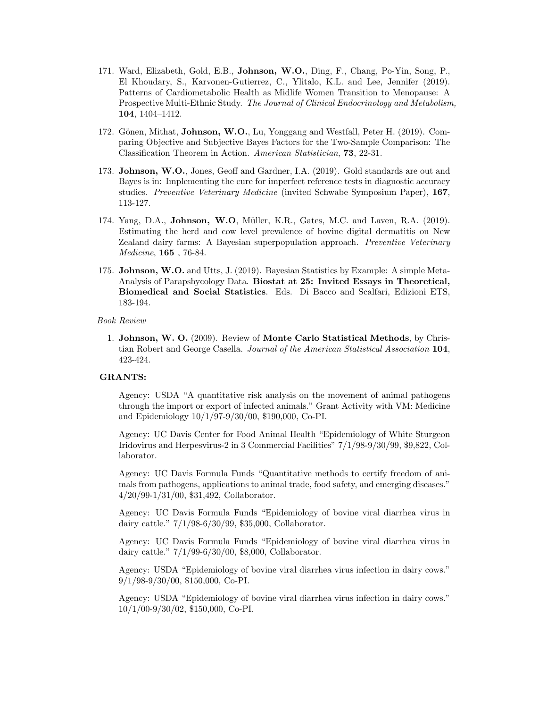- 171. Ward, Elizabeth, Gold, E.B., Johnson, W.O., Ding, F., Chang, Po-Yin, Song, P., El Khoudary, S., Karvonen-Gutierrez, C., Ylitalo, K.L. and Lee, Jennifer (2019). Patterns of Cardiometabolic Health as Midlife Women Transition to Menopause: A Prospective Multi-Ethnic Study. The Journal of Clinical Endocrinology and Metabolism, 104, 1404–1412.
- 172. Gönen, Mithat, **Johnson, W.O.**, Lu, Yonggang and Westfall, Peter H. (2019). Comparing Objective and Subjective Bayes Factors for the Two-Sample Comparison: The Classification Theorem in Action. American Statistician, 73, 22-31.
- 173. Johnson, W.O., Jones, Geoff and Gardner, I.A. (2019). Gold standards are out and Bayes is in: Implementing the cure for imperfect reference tests in diagnostic accuracy studies. Preventive Veterinary Medicine (invited Schwabe Symposium Paper), 167, 113-127.
- 174. Yang, D.A., Johnson, W.O, Müller, K.R., Gates, M.C. and Laven, R.A. (2019). Estimating the herd and cow level prevalence of bovine digital dermatitis on New Zealand dairy farms: A Bayesian superpopulation approach. Preventive Veterinary Medicine, 165 , 76-84.
- 175. Johnson, W.O. and Utts, J. (2019). Bayesian Statistics by Example: A simple Meta-Analysis of Parapshycology Data. Biostat at 25: Invited Essays in Theoretical, Biomedical and Social Statistics. Eds. Di Bacco and Scalfari, Edizioni ETS, 183-194.

Book Review

1. Johnson, W. O. (2009). Review of Monte Carlo Statistical Methods, by Christian Robert and George Casella. Journal of the American Statistical Association 104, 423-424.

### GRANTS:

Agency: USDA "A quantitative risk analysis on the movement of animal pathogens through the import or export of infected animals." Grant Activity with VM: Medicine and Epidemiology 10/1/97-9/30/00, \$190,000, Co-PI.

Agency: UC Davis Center for Food Animal Health "Epidemiology of White Sturgeon Iridovirus and Herpesvirus-2 in 3 Commercial Facilities" 7/1/98-9/30/99, \$9,822, Collaborator.

Agency: UC Davis Formula Funds "Quantitative methods to certify freedom of animals from pathogens, applications to animal trade, food safety, and emerging diseases." 4/20/99-1/31/00, \$31,492, Collaborator.

Agency: UC Davis Formula Funds "Epidemiology of bovine viral diarrhea virus in dairy cattle." 7/1/98-6/30/99, \$35,000, Collaborator.

Agency: UC Davis Formula Funds "Epidemiology of bovine viral diarrhea virus in dairy cattle." 7/1/99-6/30/00, \$8,000, Collaborator.

Agency: USDA "Epidemiology of bovine viral diarrhea virus infection in dairy cows." 9/1/98-9/30/00, \$150,000, Co-PI.

Agency: USDA "Epidemiology of bovine viral diarrhea virus infection in dairy cows." 10/1/00-9/30/02, \$150,000, Co-PI.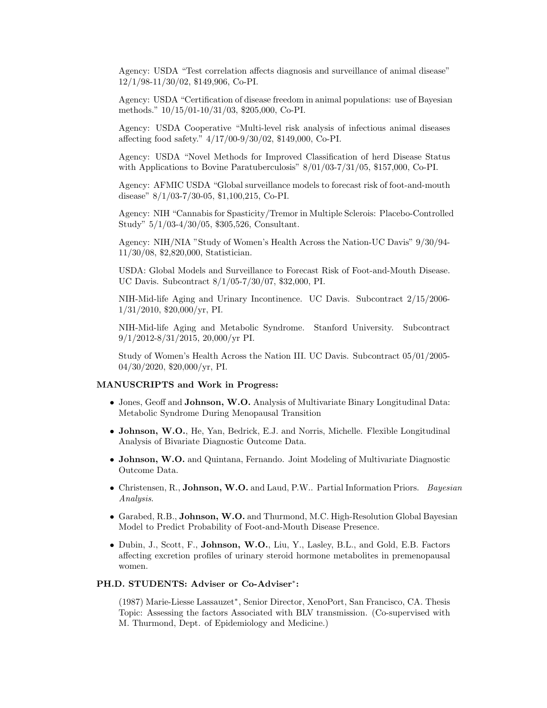Agency: USDA "Test correlation affects diagnosis and surveillance of animal disease" 12/1/98-11/30/02, \$149,906, Co-PI.

Agency: USDA "Certification of disease freedom in animal populations: use of Bayesian methods." 10/15/01-10/31/03, \$205,000, Co-PI.

Agency: USDA Cooperative "Multi-level risk analysis of infectious animal diseases affecting food safety." 4/17/00-9/30/02, \$149,000, Co-PI.

Agency: USDA "Novel Methods for Improved Classification of herd Disease Status with Applications to Bovine Paratuberculosis" 8/01/03-7/31/05, \$157,000, Co-PI.

Agency: AFMIC USDA "Global surveillance models to forecast risk of foot-and-mouth disease" 8/1/03-7/30-05, \$1,100,215, Co-PI.

Agency: NIH "Cannabis for Spasticity/Tremor in Multiple Sclerois: Placebo-Controlled Study" 5/1/03-4/30/05, \$305,526, Consultant.

Agency: NIH/NIA "Study of Women's Health Across the Nation-UC Davis" 9/30/94- 11/30/08, \$2,820,000, Statistician.

USDA: Global Models and Surveillance to Forecast Risk of Foot-and-Mouth Disease. UC Davis. Subcontract 8/1/05-7/30/07, \$32,000, PI.

NIH-Mid-life Aging and Urinary Incontinence. UC Davis. Subcontract 2/15/2006- 1/31/2010, \$20,000/yr, PI.

NIH-Mid-life Aging and Metabolic Syndrome. Stanford University. Subcontract 9/1/2012-8/31/2015, 20,000/yr PI.

Study of Women's Health Across the Nation III. UC Davis. Subcontract 05/01/2005- 04/30/2020, \$20,000/yr, PI.

### MANUSCRIPTS and Work in Progress:

- Jones, Geoff and Johnson, W.O. Analysis of Multivariate Binary Longitudinal Data: Metabolic Syndrome During Menopausal Transition
- Johnson, W.O., He, Yan, Bedrick, E.J. and Norris, Michelle. Flexible Longitudinal Analysis of Bivariate Diagnostic Outcome Data.
- Johnson, W.O. and Quintana, Fernando. Joint Modeling of Multivariate Diagnostic Outcome Data.
- Christensen, R., Johnson, W.O. and Laud, P.W.. Partial Information Priors. Bayesian Analysis.
- Garabed, R.B., Johnson, W.O. and Thurmond, M.C. High-Resolution Global Bayesian Model to Predict Probability of Foot-and-Mouth Disease Presence.
- Dubin, J., Scott, F., Johnson, W.O., Liu, Y., Lasley, B.L., and Gold, E.B. Factors affecting excretion profiles of urinary steroid hormone metabolites in premenopausal women.

# PH.D. STUDENTS: Adviser or Co-Adviser\*:

(1987) Marie-Liesse Lassauzet<sup>∗</sup> , Senior Director, XenoPort, San Francisco, CA. Thesis Topic: Assessing the factors Associated with BLV transmission. (Co-supervised with M. Thurmond, Dept. of Epidemiology and Medicine.)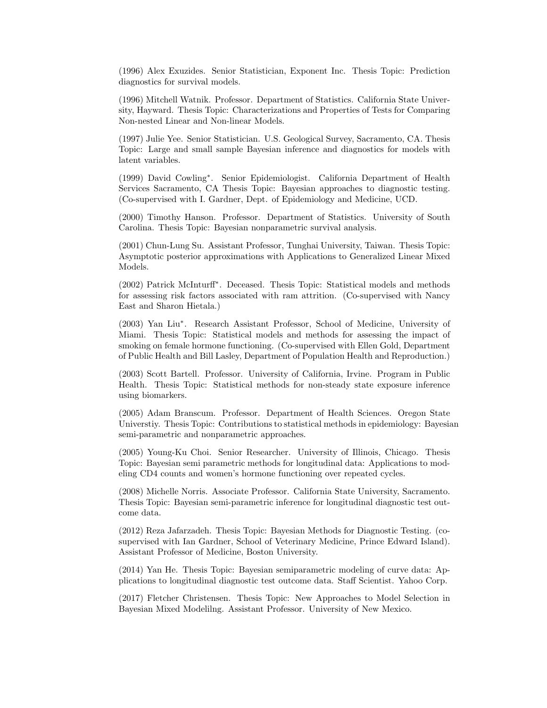(1996) Alex Exuzides. Senior Statistician, Exponent Inc. Thesis Topic: Prediction diagnostics for survival models.

(1996) Mitchell Watnik. Professor. Department of Statistics. California State University, Hayward. Thesis Topic: Characterizations and Properties of Tests for Comparing Non-nested Linear and Non-linear Models.

(1997) Julie Yee. Senior Statistician. U.S. Geological Survey, Sacramento, CA. Thesis Topic: Large and small sample Bayesian inference and diagnostics for models with latent variables.

(1999) David Cowling<sup>∗</sup> . Senior Epidemiologist. California Department of Health Services Sacramento, CA Thesis Topic: Bayesian approaches to diagnostic testing. (Co-supervised with I. Gardner, Dept. of Epidemiology and Medicine, UCD.

(2000) Timothy Hanson. Professor. Department of Statistics. University of South Carolina. Thesis Topic: Bayesian nonparametric survival analysis.

(2001) Chun-Lung Su. Assistant Professor, Tunghai University, Taiwan. Thesis Topic: Asymptotic posterior approximations with Applications to Generalized Linear Mixed Models.

(2002) Patrick McInturff<sup>∗</sup> . Deceased. Thesis Topic: Statistical models and methods for assessing risk factors associated with ram attrition. (Co-supervised with Nancy East and Sharon Hietala.)

(2003) Yan Liu<sup>∗</sup> . Research Assistant Professor, School of Medicine, University of Miami. Thesis Topic: Statistical models and methods for assessing the impact of smoking on female hormone functioning. (Co-supervised with Ellen Gold, Department of Public Health and Bill Lasley, Department of Population Health and Reproduction.)

(2003) Scott Bartell. Professor. University of California, Irvine. Program in Public Health. Thesis Topic: Statistical methods for non-steady state exposure inference using biomarkers.

(2005) Adam Branscum. Professor. Department of Health Sciences. Oregon State Universtiy. Thesis Topic: Contributions to statistical methods in epidemiology: Bayesian semi-parametric and nonparametric approaches.

(2005) Young-Ku Choi. Senior Researcher. University of Illinois, Chicago. Thesis Topic: Bayesian semi parametric methods for longitudinal data: Applications to modeling CD4 counts and women's hormone functioning over repeated cycles.

(2008) Michelle Norris. Associate Professor. California State University, Sacramento. Thesis Topic: Bayesian semi-parametric inference for longitudinal diagnostic test outcome data.

(2012) Reza Jafarzadeh. Thesis Topic: Bayesian Methods for Diagnostic Testing. (cosupervised with Ian Gardner, School of Veterinary Medicine, Prince Edward Island). Assistant Professor of Medicine, Boston University.

(2014) Yan He. Thesis Topic: Bayesian semiparametric modeling of curve data: Applications to longitudinal diagnostic test outcome data. Staff Scientist. Yahoo Corp.

(2017) Fletcher Christensen. Thesis Topic: New Approaches to Model Selection in Bayesian Mixed Modelilng. Assistant Professor. University of New Mexico.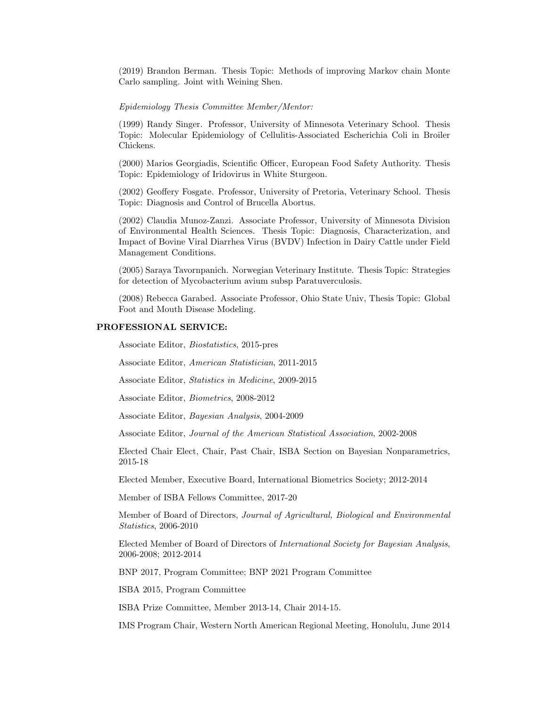(2019) Brandon Berman. Thesis Topic: Methods of improving Markov chain Monte Carlo sampling. Joint with Weining Shen.

#### Epidemiology Thesis Committee Member/Mentor:

(1999) Randy Singer. Professor, University of Minnesota Veterinary School. Thesis Topic: Molecular Epidemiology of Cellulitis-Associated Escherichia Coli in Broiler Chickens.

(2000) Marios Georgiadis, Scientific Officer, European Food Safety Authority. Thesis Topic: Epidemiology of Iridovirus in White Sturgeon.

(2002) Geoffery Fosgate. Professor, University of Pretoria, Veterinary School. Thesis Topic: Diagnosis and Control of Brucella Abortus.

(2002) Claudia Munoz-Zanzi. Associate Professor, University of Minnesota Division of Environmental Health Sciences. Thesis Topic: Diagnosis, Characterization, and Impact of Bovine Viral Diarrhea Virus (BVDV) Infection in Dairy Cattle under Field Management Conditions.

(2005) Saraya Tavornpanich. Norwegian Veterinary Institute. Thesis Topic: Strategies for detection of Mycobacterium avium subsp Paratuverculosis.

(2008) Rebecca Garabed. Associate Professor, Ohio State Univ, Thesis Topic: Global Foot and Mouth Disease Modeling.

## PROFESSIONAL SERVICE:

Associate Editor, Biostatistics, 2015-pres

Associate Editor, American Statistician, 2011-2015

Associate Editor, Statistics in Medicine, 2009-2015

Associate Editor, Biometrics, 2008-2012

Associate Editor, Bayesian Analysis, 2004-2009

Associate Editor, Journal of the American Statistical Association, 2002-2008

Elected Chair Elect, Chair, Past Chair, ISBA Section on Bayesian Nonparametrics, 2015-18

Elected Member, Executive Board, International Biometrics Society; 2012-2014

Member of ISBA Fellows Committee, 2017-20

Member of Board of Directors, Journal of Agricultural, Biological and Environmental Statistics, 2006-2010

Elected Member of Board of Directors of International Society for Bayesian Analysis, 2006-2008; 2012-2014

BNP 2017, Program Committee; BNP 2021 Program Committee

ISBA 2015, Program Committee

ISBA Prize Committee, Member 2013-14, Chair 2014-15.

IMS Program Chair, Western North American Regional Meeting, Honolulu, June 2014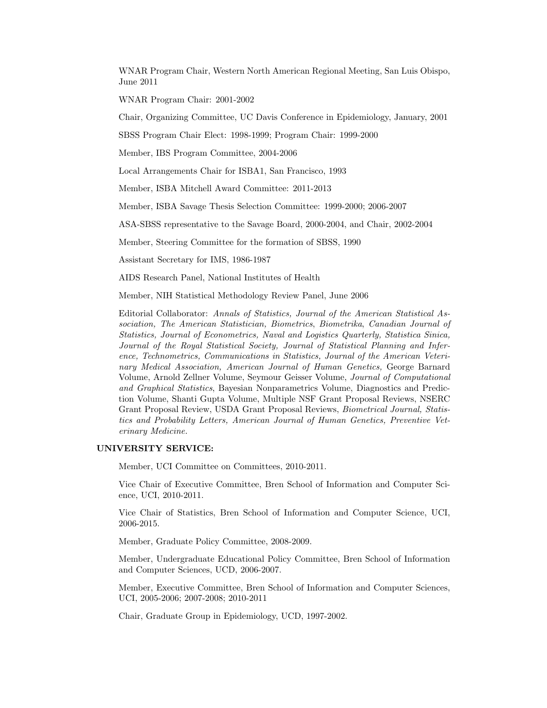WNAR Program Chair, Western North American Regional Meeting, San Luis Obispo, June 2011

WNAR Program Chair: 2001-2002

Chair, Organizing Committee, UC Davis Conference in Epidemiology, January, 2001

SBSS Program Chair Elect: 1998-1999; Program Chair: 1999-2000

Member, IBS Program Committee, 2004-2006

Local Arrangements Chair for ISBA1, San Francisco, 1993

Member, ISBA Mitchell Award Committee: 2011-2013

Member, ISBA Savage Thesis Selection Committee: 1999-2000; 2006-2007

ASA-SBSS representative to the Savage Board, 2000-2004, and Chair, 2002-2004

Member, Steering Committee for the formation of SBSS, 1990

Assistant Secretary for IMS, 1986-1987

AIDS Research Panel, National Institutes of Health

Member, NIH Statistical Methodology Review Panel, June 2006

Editorial Collaborator: Annals of Statistics, Journal of the American Statistical Association, The American Statistician, Biometrics, Biometrika, Canadian Journal of Statistics, Journal of Econometrics, Naval and Logistics Quarterly, Statistica Sinica, Journal of the Royal Statistical Society, Journal of Statistical Planning and Inference, Technometrics, Communications in Statistics, Journal of the American Veterinary Medical Association, American Journal of Human Genetics, George Barnard Volume, Arnold Zellner Volume, Seymour Geisser Volume, Journal of Computational and Graphical Statistics, Bayesian Nonparametrics Volume, Diagnostics and Prediction Volume, Shanti Gupta Volume, Multiple NSF Grant Proposal Reviews, NSERC Grant Proposal Review, USDA Grant Proposal Reviews, Biometrical Journal, Statistics and Probability Letters, American Journal of Human Genetics, Preventive Veterinary Medicine.

### UNIVERSITY SERVICE:

Member, UCI Committee on Committees, 2010-2011.

Vice Chair of Executive Committee, Bren School of Information and Computer Science, UCI, 2010-2011.

Vice Chair of Statistics, Bren School of Information and Computer Science, UCI, 2006-2015.

Member, Graduate Policy Committee, 2008-2009.

Member, Undergraduate Educational Policy Committee, Bren School of Information and Computer Sciences, UCD, 2006-2007.

Member, Executive Committee, Bren School of Information and Computer Sciences, UCI, 2005-2006; 2007-2008; 2010-2011

Chair, Graduate Group in Epidemiology, UCD, 1997-2002.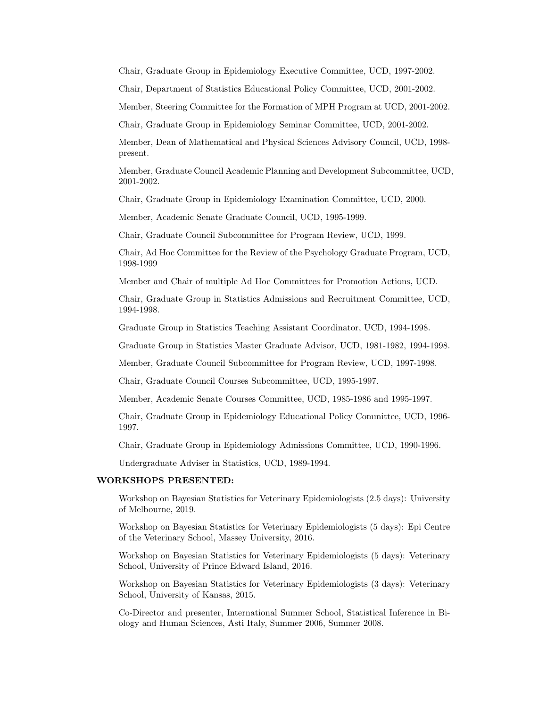Chair, Graduate Group in Epidemiology Executive Committee, UCD, 1997-2002.

Chair, Department of Statistics Educational Policy Committee, UCD, 2001-2002.

Member, Steering Committee for the Formation of MPH Program at UCD, 2001-2002.

Chair, Graduate Group in Epidemiology Seminar Committee, UCD, 2001-2002.

Member, Dean of Mathematical and Physical Sciences Advisory Council, UCD, 1998 present.

Member, Graduate Council Academic Planning and Development Subcommittee, UCD, 2001-2002.

Chair, Graduate Group in Epidemiology Examination Committee, UCD, 2000.

Member, Academic Senate Graduate Council, UCD, 1995-1999.

Chair, Graduate Council Subcommittee for Program Review, UCD, 1999.

Chair, Ad Hoc Committee for the Review of the Psychology Graduate Program, UCD, 1998-1999

Member and Chair of multiple Ad Hoc Committees for Promotion Actions, UCD.

Chair, Graduate Group in Statistics Admissions and Recruitment Committee, UCD, 1994-1998.

Graduate Group in Statistics Teaching Assistant Coordinator, UCD, 1994-1998.

Graduate Group in Statistics Master Graduate Advisor, UCD, 1981-1982, 1994-1998.

Member, Graduate Council Subcommittee for Program Review, UCD, 1997-1998.

Chair, Graduate Council Courses Subcommittee, UCD, 1995-1997.

Member, Academic Senate Courses Committee, UCD, 1985-1986 and 1995-1997.

Chair, Graduate Group in Epidemiology Educational Policy Committee, UCD, 1996- 1997.

Chair, Graduate Group in Epidemiology Admissions Committee, UCD, 1990-1996.

Undergraduate Adviser in Statistics, UCD, 1989-1994.

#### WORKSHOPS PRESENTED:

Workshop on Bayesian Statistics for Veterinary Epidemiologists (2.5 days): University of Melbourne, 2019.

Workshop on Bayesian Statistics for Veterinary Epidemiologists (5 days): Epi Centre of the Veterinary School, Massey University, 2016.

Workshop on Bayesian Statistics for Veterinary Epidemiologists (5 days): Veterinary School, University of Prince Edward Island, 2016.

Workshop on Bayesian Statistics for Veterinary Epidemiologists (3 days): Veterinary School, University of Kansas, 2015.

Co-Director and presenter, International Summer School, Statistical Inference in Biology and Human Sciences, Asti Italy, Summer 2006, Summer 2008.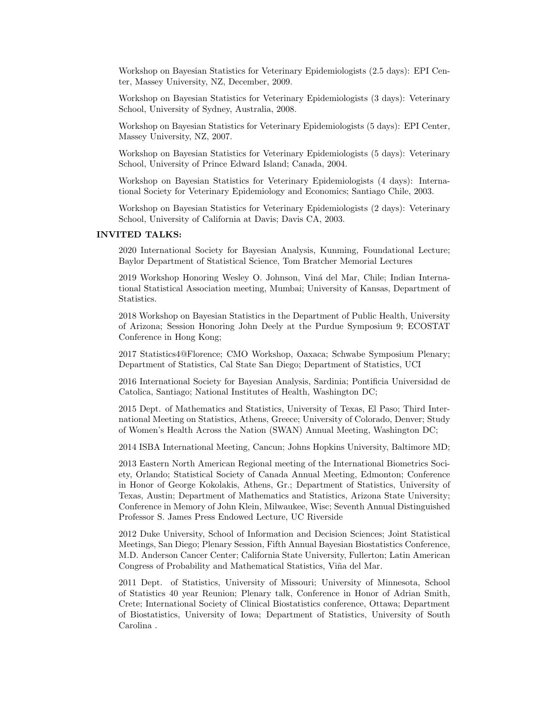Workshop on Bayesian Statistics for Veterinary Epidemiologists (2.5 days): EPI Center, Massey University, NZ, December, 2009.

Workshop on Bayesian Statistics for Veterinary Epidemiologists (3 days): Veterinary School, University of Sydney, Australia, 2008.

Workshop on Bayesian Statistics for Veterinary Epidemiologists (5 days): EPI Center, Massey University, NZ, 2007.

Workshop on Bayesian Statistics for Veterinary Epidemiologists (5 days): Veterinary School, University of Prince Edward Island; Canada, 2004.

Workshop on Bayesian Statistics for Veterinary Epidemiologists (4 days): International Society for Veterinary Epidemiology and Economics; Santiago Chile, 2003.

Workshop on Bayesian Statistics for Veterinary Epidemiologists (2 days): Veterinary School, University of California at Davis; Davis CA, 2003.

### INVITED TALKS:

2020 International Society for Bayesian Analysis, Kunming, Foundational Lecture; Baylor Department of Statistical Science, Tom Bratcher Memorial Lectures

2019 Workshop Honoring Wesley O. Johnson, Viná del Mar, Chile; Indian International Statistical Association meeting, Mumbai; University of Kansas, Department of Statistics.

2018 Workshop on Bayesian Statistics in the Department of Public Health, University of Arizona; Session Honoring John Deely at the Purdue Symposium 9; ECOSTAT Conference in Hong Kong;

2017 Statistics4@Florence; CMO Workshop, Oaxaca; Schwabe Symposium Plenary; Department of Statistics, Cal State San Diego; Department of Statistics, UCI

2016 International Society for Bayesian Analysis, Sardinia; Pontificia Universidad de Catolica, Santiago; National Institutes of Health, Washington DC;

2015 Dept. of Mathematics and Statistics, University of Texas, El Paso; Third International Meeting on Statistics, Athens, Greece; University of Colorado, Denver; Study of Women's Health Across the Nation (SWAN) Annual Meeting, Washington DC;

2014 ISBA International Meeting, Cancun; Johns Hopkins University, Baltimore MD;

2013 Eastern North American Regional meeting of the International Biometrics Society, Orlando; Statistical Society of Canada Annual Meeting, Edmonton; Conference in Honor of George Kokolakis, Athens, Gr.; Department of Statistics, University of Texas, Austin; Department of Mathematics and Statistics, Arizona State University; Conference in Memory of John Klein, Milwaukee, Wisc; Seventh Annual Distinguished Professor S. James Press Endowed Lecture, UC Riverside

2012 Duke University, School of Information and Decision Sciences; Joint Statistical Meetings, San Diego; Plenary Session, Fifth Annual Bayesian Biostatistics Conference, M.D. Anderson Cancer Center; California State University, Fullerton; Latin American Congress of Probability and Mathematical Statistics, Viña del Mar.

2011 Dept. of Statistics, University of Missouri; University of Minnesota, School of Statistics 40 year Reunion; Plenary talk, Conference in Honor of Adrian Smith, Crete; International Society of Clinical Biostatistics conference, Ottawa; Department of Biostatistics, University of Iowa; Department of Statistics, University of South Carolina .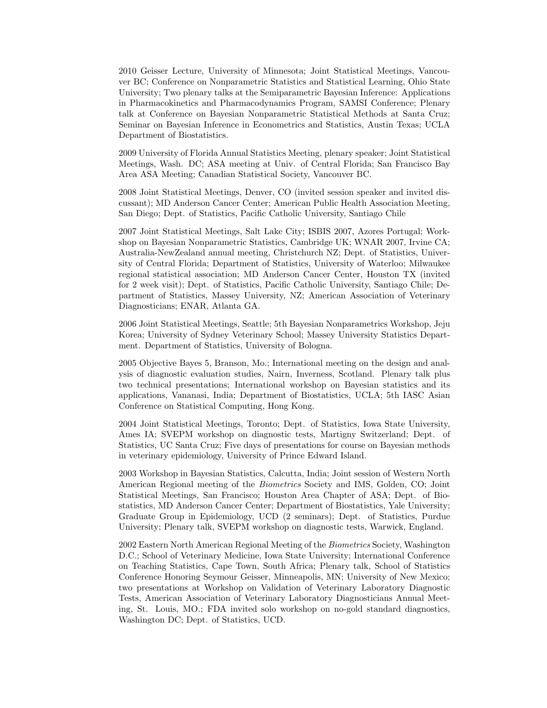2010 Geisser Lecture, University of Minnesota; Joint Statistical Meetings, Vancouver BC; Conference on Nonparametric Statistics and Statistical Learning, Ohio State University; Two plenary talks at the Semiparametric Bayesian Inference: Applications in Pharmacokinetics and Pharmacodynamics Program, SAMSI Conference; Plenary talk at Conference on Bayesian Nonparametric Statistical Methods at Santa Cruz; Seminar on Bayesian Inference in Econometrics and Statistics, Austin Texas; UCLA Department of Biostatistics.

2009 University of Florida Annual Statistics Meeting, plenary speaker; Joint Statistical Meetings, Wash. DC; ASA meeting at Univ. of Central Florida; San Francisco Bay Area ASA Meeting; Canadian Statistical Society, Vancouver BC.

2008 Joint Statistical Meetings, Denver, CO (invited session speaker and invited discussant); MD Anderson Cancer Center; American Public Health Association Meeting, San Diego; Dept. of Statistics, Pacific Catholic University, Santiago Chile

2007 Joint Statistical Meetings, Salt Lake City; ISBIS 2007, Azores Portugal; Workshop on Bayesian Nonparametric Statistics, Cambridge UK; WNAR 2007, Irvine CA; Australia-NewZealand annual meeting, Christchurch NZ; Dept. of Statistics, University of Central Florida; Department of Statistics, University of Waterloo; Milwaukee regional statistical association; MD Anderson Cancer Center, Houston TX (invited for 2 week visit); Dept. of Statistics, Pacific Catholic University, Santiago Chile; Department of Statistics, Massey University, NZ; American Association of Veterinary Diagnosticians; ENAR, Atlanta GA.

2006 Joint Statistical Meetings, Seattle; 5th Bayesian Nonparametrics Workshop, Jeju Korea; University of Sydney Veterinary School; Massey University Statistics Department. Department of Statistics, University of Bologna.

2005 Objective Bayes 5, Branson, Mo.; International meeting on the design and analysis of diagnostic evaluation studies, Nairn, Inverness, Scotland. Plenary talk plus two technical presentations; International workshop on Bayesian statistics and its applications, Vananasi, India; Department of Biostatistics, UCLA; 5th IASC Asian Conference on Statistical Computing, Hong Kong.

2004 Joint Statistical Meetings, Toronto; Dept. of Statistics, Iowa State University, Ames IA; SVEPM workshop on diagnostic tests, Martigny Switzerland; Dept. of Statistics, UC Santa Cruz; Five days of presentations for course on Bayesian methods in veterinary epidemiology, University of Prince Edward Island.

2003 Workshop in Bayesian Statistics, Calcutta, India; Joint session of Western North American Regional meeting of the Biometrics Society and IMS, Golden, CO; Joint Statistical Meetings, San Francisco; Houston Area Chapter of ASA; Dept. of Biostatistics, MD Anderson Cancer Center; Department of Biostatistics, Yale University; Graduate Group in Epidemiology, UCD (2 seminars); Dept. of Statistics, Purdue University; Plenary talk, SVEPM workshop on diagnostic tests, Warwick, England.

2002 Eastern North American Regional Meeting of the Biometrics Society, Washington D.C.; School of Veterinary Medicine, Iowa State University; International Conference on Teaching Statistics, Cape Town, South Africa; Plenary talk, School of Statistics Conference Honoring Seymour Geisser, Minneapolis, MN; University of New Mexico; two presentations at Workshop on Validation of Veterinary Laboratory Diagnostic Tests, American Association of Veterinary Laboratory Diagnosticians Annual Meeting, St. Louis, MO.; FDA invited solo workshop on no-gold standard diagnostics, Washington DC; Dept. of Statistics, UCD.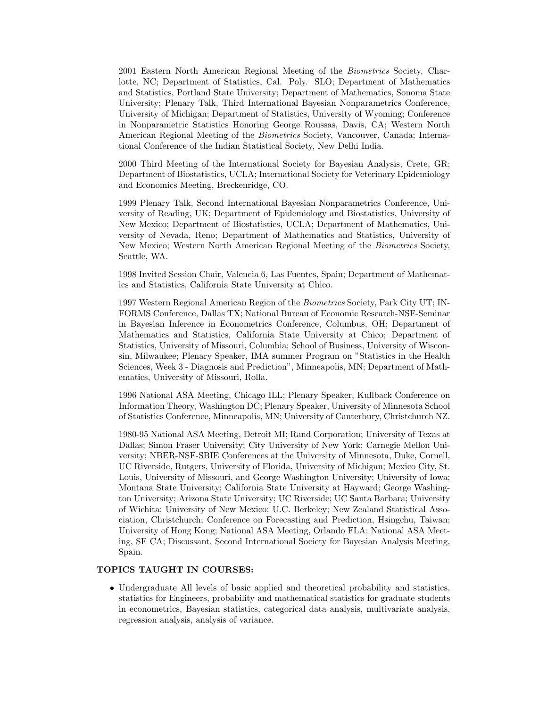2001 Eastern North American Regional Meeting of the Biometrics Society, Charlotte, NC; Department of Statistics, Cal. Poly. SLO; Department of Mathematics and Statistics, Portland State University; Department of Mathematics, Sonoma State University; Plenary Talk, Third International Bayesian Nonparametrics Conference, University of Michigan; Department of Statistics, University of Wyoming; Conference in Nonparametric Statistics Honoring George Roussas, Davis, CA; Western North American Regional Meeting of the Biometrics Society, Vancouver, Canada; International Conference of the Indian Statistical Society, New Delhi India.

2000 Third Meeting of the International Society for Bayesian Analysis, Crete, GR; Department of Biostatistics, UCLA; International Society for Veterinary Epidemiology and Economics Meeting, Breckenridge, CO.

1999 Plenary Talk, Second International Bayesian Nonparametrics Conference, University of Reading, UK; Department of Epidemiology and Biostatistics, University of New Mexico; Department of Biostatistics, UCLA; Department of Mathematics, University of Nevada, Reno; Department of Mathematics and Statistics, University of New Mexico; Western North American Regional Meeting of the Biometrics Society, Seattle, WA.

1998 Invited Session Chair, Valencia 6, Las Fuentes, Spain; Department of Mathematics and Statistics, California State University at Chico.

1997 Western Regional American Region of the Biometrics Society, Park City UT; IN-FORMS Conference, Dallas TX; National Bureau of Economic Research-NSF-Seminar in Bayesian Inference in Econometrics Conference, Columbus, OH; Department of Mathematics and Statistics, California State University at Chico; Department of Statistics, University of Missouri, Columbia; School of Business, University of Wisconsin, Milwaukee; Plenary Speaker, IMA summer Program on "Statistics in the Health Sciences, Week 3 - Diagnosis and Prediction", Minneapolis, MN; Department of Mathematics, University of Missouri, Rolla.

1996 National ASA Meeting, Chicago ILL; Plenary Speaker, Kullback Conference on Information Theory, Washington DC; Plenary Speaker, University of Minnesota School of Statistics Conference, Minneapolis, MN; University of Canterbury, Christchurch NZ.

1980-95 National ASA Meeting, Detroit MI; Rand Corporation; University of Texas at Dallas; Simon Fraser University; City University of New York; Carnegie Mellon University; NBER-NSF-SBIE Conferences at the University of Minnesota, Duke, Cornell, UC Riverside, Rutgers, University of Florida, University of Michigan; Mexico City, St. Louis, University of Missouri, and George Washington University; University of Iowa; Montana State University; California State University at Hayward; George Washington University; Arizona State University; UC Riverside; UC Santa Barbara; University of Wichita; University of New Mexico; U.C. Berkeley; New Zealand Statistical Association, Christchurch; Conference on Forecasting and Prediction, Hsingchu, Taiwan; University of Hong Kong; National ASA Meeting, Orlando FLA; National ASA Meeting, SF CA; Discussant, Second International Society for Bayesian Analysis Meeting, Spain.

# TOPICS TAUGHT IN COURSES:

• Undergraduate All levels of basic applied and theoretical probability and statistics, statistics for Engineers, probability and mathematical statistics for graduate students in econometrics, Bayesian statistics, categorical data analysis, multivariate analysis, regression analysis, analysis of variance.